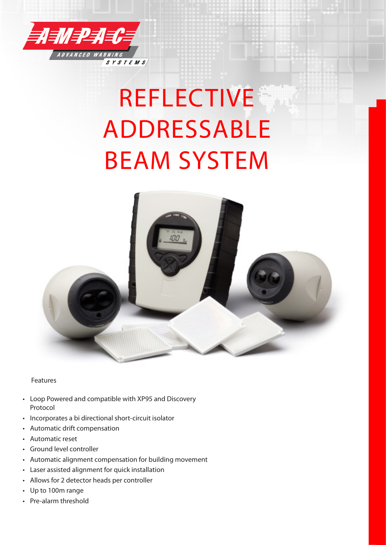

# REFLECTIVE ADDRESSABLE BEAM SYSTEM



Features

- Loop Powered and compatible with XP95 and Discovery Protocol
- Incorporates a bi directional short-circuit isolator
- Automatic drift compensation
- Automatic reset
- Ground level controller
- Automatic alignment compensation for building movement
- Laser assisted alignment for quick installation
- Allows for 2 detector heads per controller
- Up to 100m range
- Pre-alarm threshold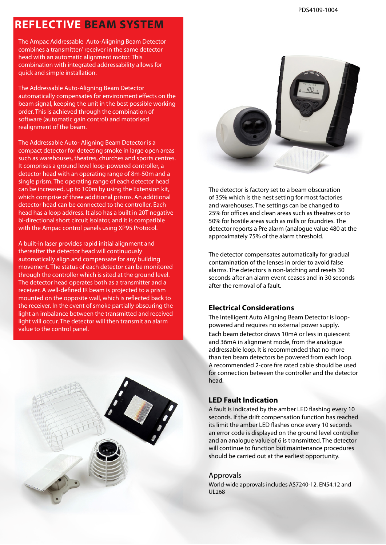### **REFLECTIVE BEAM SYSTEM**

The Ampac Addressable Auto-Aligning Beam Detector combines a transmitter/ receiver in the same detector head with an automatic alignment motor. This combination with integrated addressability allows for quick and simple installation.

The Addressable Auto-Aligning Beam Detector automatically compensates for environment effects on the beam signal, keeping the unit in the best possible working order. This is achieved through the combination of software (automatic gain control) and motorised realignment of the beam.

The Addressable Auto- Aligning Beam Detector is a compact detector for detecting smoke in large open areas such as warehouses, theatres, churches and sports centres. It comprises a ground level loop-powered controller, a detector head with an operating range of 8m-50m and a single prism. The operating range of each detector head can be increased, up to 100m by using the Extension kit, which comprise of three additional prisms. An additional detector head can be connected to the controller. Each head has a loop address. It also has a built in 20T negative bi-directional short circuit isolator, and it is compatible with the Ampac control panels using XP95 Protocol.

A built-in laser provides rapid initial alignment and thereafter the detector head will continuously automatically align and compensate for any building movement. The status of each detector can be monitored through the controller which is sited at the ground level. The detector head operates both as a transmitter and a receiver. A well-defined IR beam is projected to a prism mounted on the opposite wall, which is reflected back to the receiver. In the event of smoke partially obscuring the light an imbalance between the transmitted and received light will occur. The detector will then transmit an alarm value to the control panel.





The detector is factory set to a beam obscuration of 35% which is the nest setting for most factories and warehouses. The settings can be changed to 25% for offices and clean areas such as theatres or to 50% for hostile areas such as mills or foundries. The detector reports a Pre alarm (analogue value 480 at the approximately 75% of the alarm threshold.

The detector compensates automatically for gradual contamination of the lenses in order to avoid false alarms. The detectors is non-latching and resets 30 seconds after an alarm event ceases and in 30 seconds after the removal of a fault.

#### **Electrical Considerations**

The Intelligent Auto Aligning Beam Detector is looppowered and requires no external power supply.

Each beam detector draws 10mA or less in quiescent and 36mA in alignment mode, from the analogue addressable loop. It is recommended that no more than ten beam detectors be powered from each loop. A recommended 2-core fire rated cable should be used for connection between the controller and the detector head.

#### **LED Fault Indication**

A fault is indicated by the amber LED flashing every 10 seconds. If the drift compensation function has reached its limit the amber LED flashes once every 10 seconds an error code is displayed on the ground level controller and an analogue value of 6 is transmitted. The detector will continue to function but maintenance procedures should be carried out at the earliest opportunity.

#### Approvals

World-wide approvals includes AS7240-12, EN54:12 and UL268